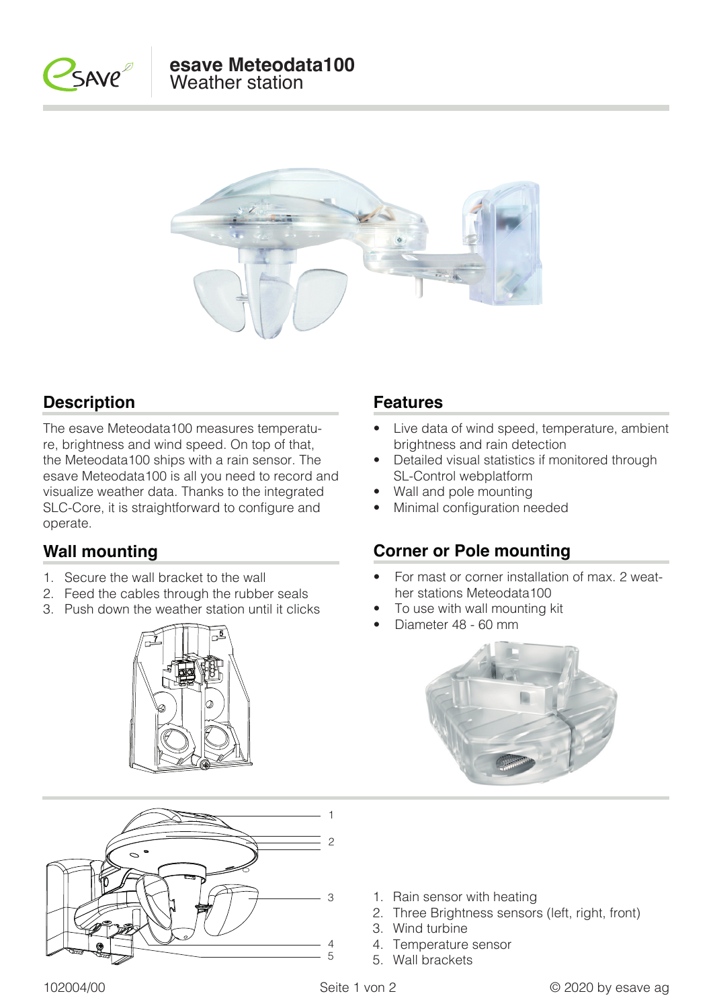



### **Description Features**

The esave Meteodata100 measures temperature, brightness and wind speed. On top of that, the Meteodata100 ships with a rain sensor. The esave Meteodata100 is all you need to record and visualize weather data. Thanks to the integrated SLC-Core, it is straightforward to configure and operate.

### **Wall mounting**

- 1. Secure the wall bracket to the wall
- 2. Feed the cables through the rubber seals
- 3. Push down the weather station until it clicks





- Live data of wind speed, temperature, ambient brightness and rain detection
- Detailed visual statistics if monitored through SL-Control webplatform
- Wall and pole mounting
- Minimal configuration needed

### **Corner or Pole mounting**

- For mast or corner installation of max. 2 weather stations Meteodata100
- To use with wall mounting kit
- Diameter 48 60 mm



- 1. Rain sensor with heating
- 2. Three Brightness sensors (left, right, front)
- 3. Wind turbine

5. Wall brackets

4. Temperature sensor